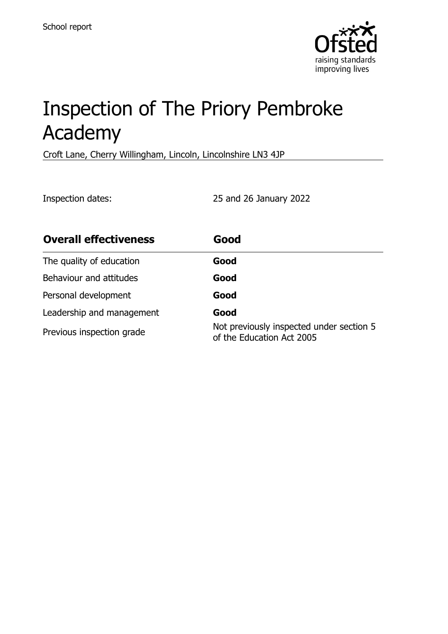

# Inspection of The Priory Pembroke Academy

Croft Lane, Cherry Willingham, Lincoln, Lincolnshire LN3 4JP

Inspection dates: 25 and 26 January 2022

| <b>Overall effectiveness</b> | Good                                                                  |
|------------------------------|-----------------------------------------------------------------------|
| The quality of education     | Good                                                                  |
| Behaviour and attitudes      | Good                                                                  |
| Personal development         | Good                                                                  |
| Leadership and management    | Good                                                                  |
| Previous inspection grade    | Not previously inspected under section 5<br>of the Education Act 2005 |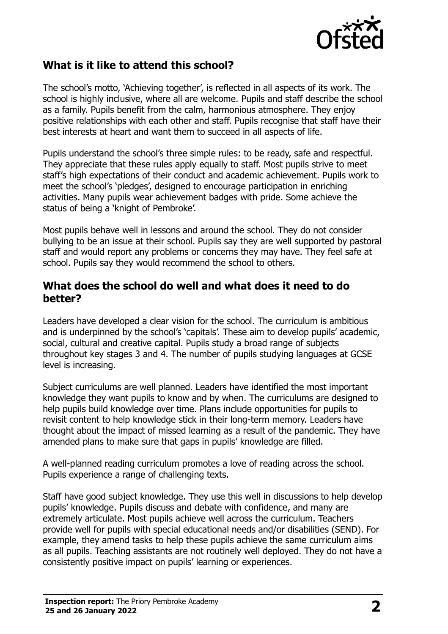

# **What is it like to attend this school?**

The school's motto, 'Achieving together', is reflected in all aspects of its work. The school is highly inclusive, where all are welcome. Pupils and staff describe the school as a family. Pupils benefit from the calm, harmonious atmosphere. They enjoy positive relationships with each other and staff. Pupils recognise that staff have their best interests at heart and want them to succeed in all aspects of life.

Pupils understand the school's three simple rules: to be ready, safe and respectful. They appreciate that these rules apply equally to staff. Most pupils strive to meet staff's high expectations of their conduct and academic achievement. Pupils work to meet the school's 'pledges', designed to encourage participation in enriching activities. Many pupils wear achievement badges with pride. Some achieve the status of being a 'knight of Pembroke'.

Most pupils behave well in lessons and around the school. They do not consider bullying to be an issue at their school. Pupils say they are well supported by pastoral staff and would report any problems or concerns they may have. They feel safe at school. Pupils say they would recommend the school to others.

#### **What does the school do well and what does it need to do better?**

Leaders have developed a clear vision for the school. The curriculum is ambitious and is underpinned by the school's 'capitals'. These aim to develop pupils' academic, social, cultural and creative capital. Pupils study a broad range of subjects throughout key stages 3 and 4. The number of pupils studying languages at GCSE level is increasing.

Subject curriculums are well planned. Leaders have identified the most important knowledge they want pupils to know and by when. The curriculums are designed to help pupils build knowledge over time. Plans include opportunities for pupils to revisit content to help knowledge stick in their long-term memory. Leaders have thought about the impact of missed learning as a result of the pandemic. They have amended plans to make sure that gaps in pupils' knowledge are filled.

A well-planned reading curriculum promotes a love of reading across the school. Pupils experience a range of challenging texts.

Staff have good subject knowledge. They use this well in discussions to help develop pupils' knowledge. Pupils discuss and debate with confidence, and many are extremely articulate. Most pupils achieve well across the curriculum. Teachers provide well for pupils with special educational needs and/or disabilities (SEND). For example, they amend tasks to help these pupils achieve the same curriculum aims as all pupils. Teaching assistants are not routinely well deployed. They do not have a consistently positive impact on pupils' learning or experiences.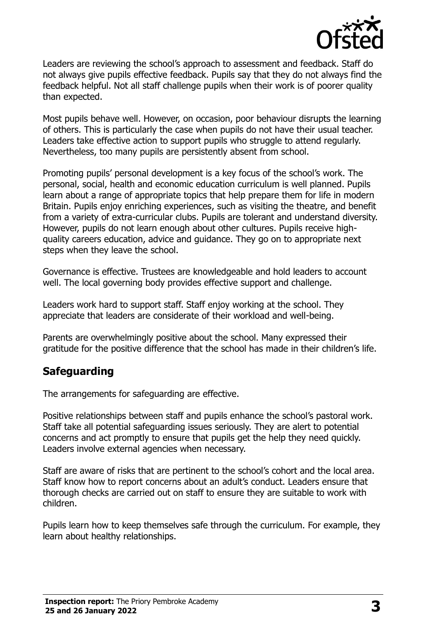

Leaders are reviewing the school's approach to assessment and feedback. Staff do not always give pupils effective feedback. Pupils say that they do not always find the feedback helpful. Not all staff challenge pupils when their work is of poorer quality than expected.

Most pupils behave well. However, on occasion, poor behaviour disrupts the learning of others. This is particularly the case when pupils do not have their usual teacher. Leaders take effective action to support pupils who struggle to attend regularly. Nevertheless, too many pupils are persistently absent from school.

Promoting pupils' personal development is a key focus of the school's work. The personal, social, health and economic education curriculum is well planned. Pupils learn about a range of appropriate topics that help prepare them for life in modern Britain. Pupils enjoy enriching experiences, such as visiting the theatre, and benefit from a variety of extra-curricular clubs. Pupils are tolerant and understand diversity. However, pupils do not learn enough about other cultures. Pupils receive highquality careers education, advice and guidance. They go on to appropriate next steps when they leave the school.

Governance is effective. Trustees are knowledgeable and hold leaders to account well. The local governing body provides effective support and challenge.

Leaders work hard to support staff. Staff enjoy working at the school. They appreciate that leaders are considerate of their workload and well-being.

Parents are overwhelmingly positive about the school. Many expressed their gratitude for the positive difference that the school has made in their children's life.

# **Safeguarding**

The arrangements for safeguarding are effective.

Positive relationships between staff and pupils enhance the school's pastoral work. Staff take all potential safeguarding issues seriously. They are alert to potential concerns and act promptly to ensure that pupils get the help they need quickly. Leaders involve external agencies when necessary.

Staff are aware of risks that are pertinent to the school's cohort and the local area. Staff know how to report concerns about an adult's conduct. Leaders ensure that thorough checks are carried out on staff to ensure they are suitable to work with children.

Pupils learn how to keep themselves safe through the curriculum. For example, they learn about healthy relationships.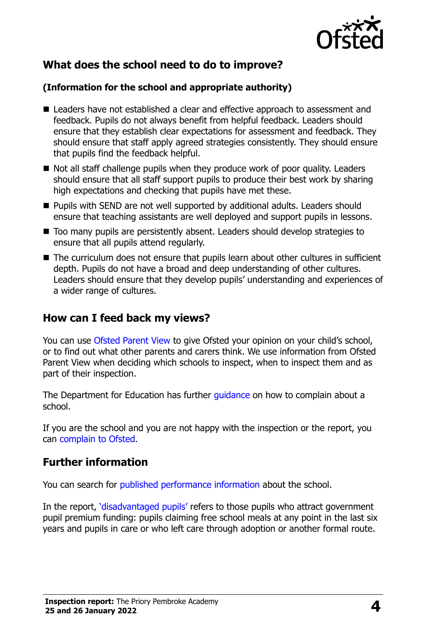

# **What does the school need to do to improve?**

#### **(Information for the school and appropriate authority)**

- Leaders have not established a clear and effective approach to assessment and feedback. Pupils do not always benefit from helpful feedback. Leaders should ensure that they establish clear expectations for assessment and feedback. They should ensure that staff apply agreed strategies consistently. They should ensure that pupils find the feedback helpful.
- Not all staff challenge pupils when they produce work of poor quality. Leaders should ensure that all staff support pupils to produce their best work by sharing high expectations and checking that pupils have met these.
- Pupils with SEND are not well supported by additional adults. Leaders should ensure that teaching assistants are well deployed and support pupils in lessons.
- Too many pupils are persistently absent. Leaders should develop strategies to ensure that all pupils attend regularly.
- The curriculum does not ensure that pupils learn about other cultures in sufficient depth. Pupils do not have a broad and deep understanding of other cultures. Leaders should ensure that they develop pupils' understanding and experiences of a wider range of cultures.

## **How can I feed back my views?**

You can use [Ofsted Parent View](http://parentview.ofsted.gov.uk/) to give Ofsted your opinion on your child's school, or to find out what other parents and carers think. We use information from Ofsted Parent View when deciding which schools to inspect, when to inspect them and as part of their inspection.

The Department for Education has further quidance on how to complain about a school.

If you are the school and you are not happy with the inspection or the report, you can [complain to Ofsted.](http://www.gov.uk/complain-ofsted-report)

### **Further information**

You can search for [published performance information](http://www.compare-school-performance.service.gov.uk/) about the school.

In the report, '[disadvantaged pupils](http://www.gov.uk/guidance/pupil-premium-information-for-schools-and-alternative-provision-settings)' refers to those pupils who attract government pupil premium funding: pupils claiming free school meals at any point in the last six years and pupils in care or who left care through adoption or another formal route.

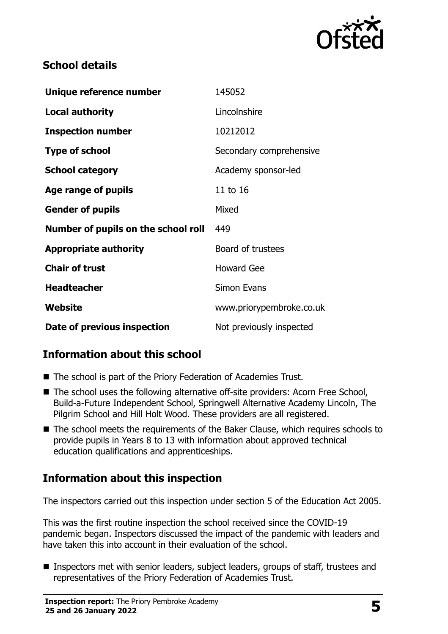

# **School details**

| Unique reference number             | 145052                   |
|-------------------------------------|--------------------------|
| <b>Local authority</b>              | Lincolnshire             |
| <b>Inspection number</b>            | 10212012                 |
| <b>Type of school</b>               | Secondary comprehensive  |
| <b>School category</b>              | Academy sponsor-led      |
| Age range of pupils                 | 11 to 16                 |
| <b>Gender of pupils</b>             | Mixed                    |
| Number of pupils on the school roll | 449                      |
| <b>Appropriate authority</b>        | Board of trustees        |
| <b>Chair of trust</b>               | <b>Howard Gee</b>        |
| <b>Headteacher</b>                  | <b>Simon Evans</b>       |
| Website                             | www.priorypembroke.co.uk |
| Date of previous inspection         | Not previously inspected |

# **Information about this school**

- The school is part of the Priory Federation of Academies Trust.
- The school uses the following alternative off-site providers: Acorn Free School, Build-a-Future Independent School, Springwell Alternative Academy Lincoln, The Pilgrim School and Hill Holt Wood. These providers are all registered.
- The school meets the requirements of the Baker Clause, which requires schools to provide pupils in Years 8 to 13 with information about approved technical education qualifications and apprenticeships.

# **Information about this inspection**

The inspectors carried out this inspection under section 5 of the Education Act 2005.

This was the first routine inspection the school received since the COVID-19 pandemic began. Inspectors discussed the impact of the pandemic with leaders and have taken this into account in their evaluation of the school.

■ Inspectors met with senior leaders, subject leaders, groups of staff, trustees and representatives of the Priory Federation of Academies Trust.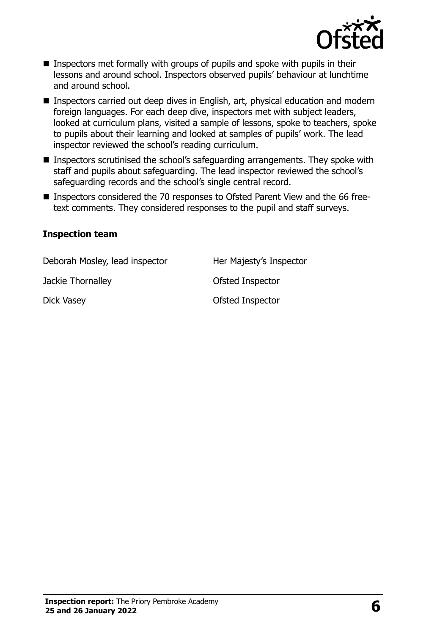

- Inspectors met formally with groups of pupils and spoke with pupils in their lessons and around school. Inspectors observed pupils' behaviour at lunchtime and around school.
- Inspectors carried out deep dives in English, art, physical education and modern foreign languages. For each deep dive, inspectors met with subject leaders, looked at curriculum plans, visited a sample of lessons, spoke to teachers, spoke to pupils about their learning and looked at samples of pupils' work. The lead inspector reviewed the school's reading curriculum.
- Inspectors scrutinised the school's safeguarding arrangements. They spoke with staff and pupils about safeguarding. The lead inspector reviewed the school's safeguarding records and the school's single central record.
- Inspectors considered the 70 responses to Ofsted Parent View and the 66 freetext comments. They considered responses to the pupil and staff surveys.

#### **Inspection team**

Deborah Mosley, lead inspector Her Majesty's Inspector Jackie Thornalley **Disk and Separate Inspector** Dick Vasey **Dick Vasey Ofsted Inspector**